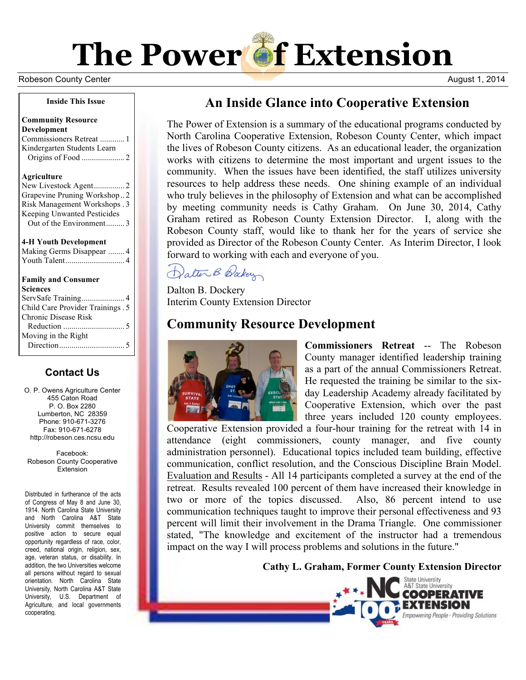# **The Power of Extension**

Robeson County Center **August 1, 2014** Number 2, 2014

#### **Inside This Issue**

#### **Community Resource Development**

Commissioners Retreat ............ 1 Kindergarten Students Learn Origins of Food ..................... 2

#### **Agriculture**

New Livestock Agent............... 2 Grapevine Pruning Workshop.. 2 Risk Management Workshops . 3 Keeping Unwanted Pesticides Out of the Environment......... 3

#### **4-H Youth Development**

| Making Germs Disappear  4 |  |
|---------------------------|--|
|                           |  |

#### **Family and Consumer**

| Sciences                          |
|-----------------------------------|
|                                   |
| Child Care Provider Trainings . 5 |
| Chronic Disease Risk              |
|                                   |
| Moving in the Right               |
|                                   |
|                                   |

## **Contact Us**

O. P. Owens Agriculture Center 455 Caton Road P. O. Box 2280 Lumberton, NC 28359 Phone: 910-671-3276 Fax: 910-671-6278 http://robeson.ces.ncsu.edu

Facebook: Robeson County Cooperative **Extension** 

Distributed in furtherance of the acts of Congress of May 8 and June 30, 1914. North Carolina State University and North Carolina A&T State University commit themselves to positive action to secure equal opportunity regardless of race, color, creed, national origin, religion, sex, age, veteran status, or disability. In addition, the two Universities welcome all persons without regard to sexual orientation. North Carolina State University, North Carolina A&T State University, U.S. Department of Agriculture, and local governments cooperating.

# **An Inside Glance into Cooperative Extension**

The Power of Extension is a summary of the educational programs conducted by North Carolina Cooperative Extension, Robeson County Center, which impact the lives of Robeson County citizens. As an educational leader, the organization works with citizens to determine the most important and urgent issues to the community. When the issues have been identified, the staff utilizes university resources to help address these needs. One shining example of an individual who truly believes in the philosophy of Extension and what can be accomplished by meeting community needs is Cathy Graham. On June 30, 2014, Cathy Graham retired as Robeson County Extension Director. I, along with the Robeson County staff, would like to thank her for the years of service she provided as Director of the Robeson County Center. As Interim Director, I look forward to working with each and everyone of you.

Datter B Baker

Dalton B. Dockery Interim County Extension Director

# **Community Resource Development**



**Commissioners Retreat** -- The Robeson County manager identified leadership training as a part of the annual Commissioners Retreat. He requested the training be similar to the sixday Leadership Academy already facilitated by Cooperative Extension, which over the past three years included 120 county employees.

Cooperative Extension provided a four-hour training for the retreat with 14 in attendance (eight commissioners, county manager, and five county administration personnel). Educational topics included team building, effective communication, conflict resolution, and the Conscious Discipline Brain Model. Evaluation and Results - All 14 participants completed a survey at the end of the retreat. Results revealed 100 percent of them have increased their knowledge in two or more of the topics discussed. Also, 86 percent intend to use communication techniques taught to improve their personal effectiveness and 93 percent will limit their involvement in the Drama Triangle. One commissioner stated, "The knowledge and excitement of the instructor had a tremendous impact on the way I will process problems and solutions in the future."

**Cathy L. Graham, Former County Extension Director**

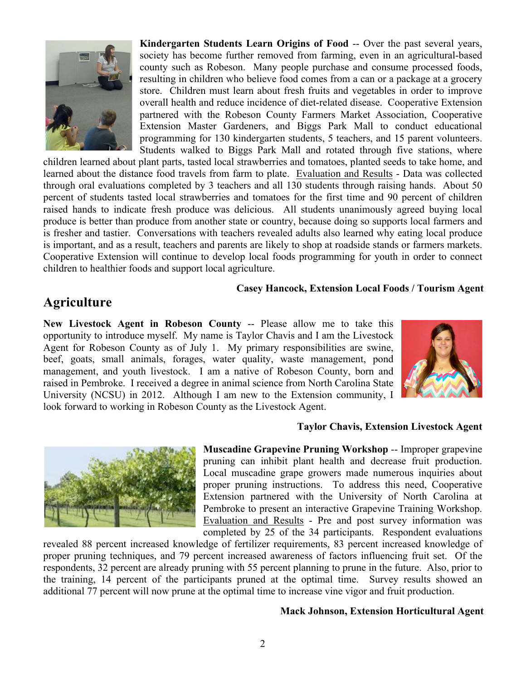

**Kindergarten Students Learn Origins of Food** -- Over the past several years, society has become further removed from farming, even in an agricultural-based county such as Robeson. Many people purchase and consume processed foods, resulting in children who believe food comes from a can or a package at a grocery store. Children must learn about fresh fruits and vegetables in order to improve overall health and reduce incidence of diet-related disease. Cooperative Extension partnered with the Robeson County Farmers Market Association, Cooperative Extension Master Gardeners, and Biggs Park Mall to conduct educational programming for 130 kindergarten students, 5 teachers, and 15 parent volunteers. Students walked to Biggs Park Mall and rotated through five stations, where

children learned about plant parts, tasted local strawberries and tomatoes, planted seeds to take home, and learned about the distance food travels from farm to plate. Evaluation and Results - Data was collected through oral evaluations completed by 3 teachers and all 130 students through raising hands. About 50 percent of students tasted local strawberries and tomatoes for the first time and 90 percent of children raised hands to indicate fresh produce was delicious. All students unanimously agreed buying local produce is better than produce from another state or country, because doing so supports local farmers and is fresher and tastier. Conversations with teachers revealed adults also learned why eating local produce is important, and as a result, teachers and parents are likely to shop at roadside stands or farmers markets. Cooperative Extension will continue to develop local foods programming for youth in order to connect children to healthier foods and support local agriculture.

#### **Casey Hancock, Extension Local Foods / Tourism Agent**

## **Agriculture**

**New Livestock Agent in Robeson County** -- Please allow me to take this opportunity to introduce myself. My name is Taylor Chavis and I am the Livestock Agent for Robeson County as of July 1. My primary responsibilities are swine, beef, goats, small animals, forages, water quality, waste management, pond management, and youth livestock. I am a native of Robeson County, born and raised in Pembroke. I received a degree in animal science from North Carolina State University (NCSU) in 2012. Although I am new to the Extension community, I look forward to working in Robeson County as the Livestock Agent.



#### **Taylor Chavis, Extension Livestock Agent**



**Muscadine Grapevine Pruning Workshop** -- Improper grapevine pruning can inhibit plant health and decrease fruit production. Local muscadine grape growers made numerous inquiries about proper pruning instructions. To address this need, Cooperative Extension partnered with the University of North Carolina at Pembroke to present an interactive Grapevine Training Workshop. Evaluation and Results - Pre and post survey information was completed by 25 of the 34 participants. Respondent evaluations

revealed 88 percent increased knowledge of fertilizer requirements, 83 percent increased knowledge of proper pruning techniques, and 79 percent increased awareness of factors influencing fruit set. Of the respondents, 32 percent are already pruning with 55 percent planning to prune in the future. Also, prior to the training, 14 percent of the participants pruned at the optimal time. Survey results showed an additional 77 percent will now prune at the optimal time to increase vine vigor and fruit production.

#### **Mack Johnson, Extension Horticultural Agent**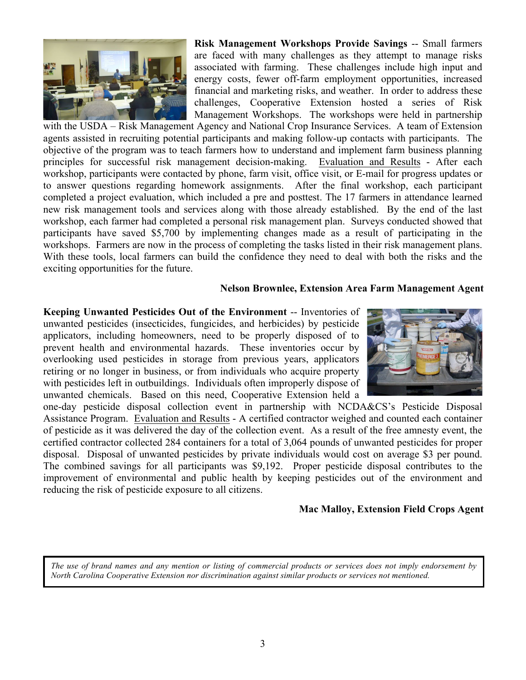

**Risk Management Workshops Provide Savings** -- Small farmers are faced with many challenges as they attempt to manage risks associated with farming. These challenges include high input and energy costs, fewer off-farm employment opportunities, increased financial and marketing risks, and weather. In order to address these challenges, Cooperative Extension hosted a series of Risk Management Workshops. The workshops were held in partnership

with the USDA – Risk Management Agency and National Crop Insurance Services. A team of Extension agents assisted in recruiting potential participants and making follow-up contacts with participants. The objective of the program was to teach farmers how to understand and implement farm business planning principles for successful risk management decision-making. Evaluation and Results - After each workshop, participants were contacted by phone, farm visit, office visit, or E-mail for progress updates or to answer questions regarding homework assignments. After the final workshop, each participant completed a project evaluation, which included a pre and posttest. The 17 farmers in attendance learned new risk management tools and services along with those already established. By the end of the last workshop, each farmer had completed a personal risk management plan. Surveys conducted showed that participants have saved \$5,700 by implementing changes made as a result of participating in the workshops. Farmers are now in the process of completing the tasks listed in their risk management plans. With these tools, local farmers can build the confidence they need to deal with both the risks and the exciting opportunities for the future.

#### **Nelson Brownlee, Extension Area Farm Management Agent**

**Keeping Unwanted Pesticides Out of the Environment** -- Inventories of unwanted pesticides (insecticides, fungicides, and herbicides) by pesticide applicators, including homeowners, need to be properly disposed of to prevent health and environmental hazards. These inventories occur by overlooking used pesticides in storage from previous years, applicators retiring or no longer in business, or from individuals who acquire property with pesticides left in outbuildings. Individuals often improperly dispose of unwanted chemicals. Based on this need, Cooperative Extension held a



one-day pesticide disposal collection event in partnership with NCDA&CS's Pesticide Disposal Assistance Program. Evaluation and Results - A certified contractor weighed and counted each container of pesticide as it was delivered the day of the collection event. As a result of the free amnesty event, the certified contractor collected 284 containers for a total of 3,064 pounds of unwanted pesticides for proper disposal. Disposal of unwanted pesticides by private individuals would cost on average \$3 per pound. The combined savings for all participants was \$9,192. Proper pesticide disposal contributes to the improvement of environmental and public health by keeping pesticides out of the environment and reducing the risk of pesticide exposure to all citizens.

## **Mac Malloy, Extension Field Crops Agent**

*The use of brand names and any mention or listing of commercial products or services does not imply endorsement by North Carolina Cooperative Extension nor discrimination against similar products or services not mentioned.*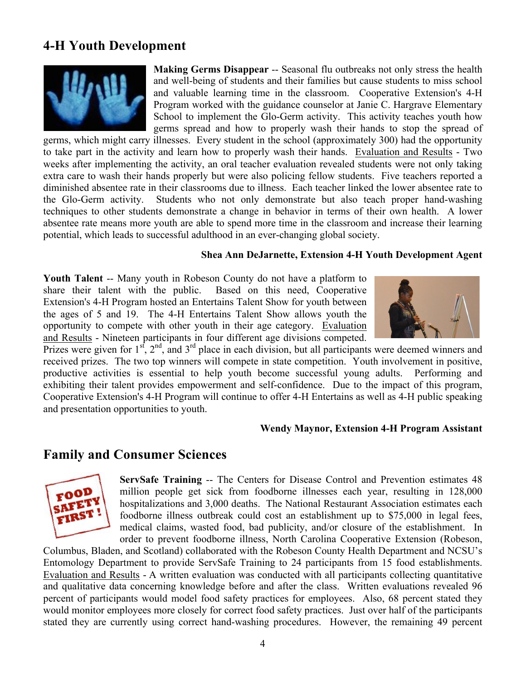# **4-H Youth Development**



**Making Germs Disappear** -- Seasonal flu outbreaks not only stress the health and well-being of students and their families but cause students to miss school and valuable learning time in the classroom. Cooperative Extension's 4-H Program worked with the guidance counselor at Janie C. Hargrave Elementary School to implement the Glo-Germ activity. This activity teaches youth how germs spread and how to properly wash their hands to stop the spread of

germs, which might carry illnesses. Every student in the school (approximately 300) had the opportunity to take part in the activity and learn how to properly wash their hands. Evaluation and Results - Two weeks after implementing the activity, an oral teacher evaluation revealed students were not only taking extra care to wash their hands properly but were also policing fellow students. Five teachers reported a diminished absentee rate in their classrooms due to illness. Each teacher linked the lower absentee rate to the Glo-Germ activity. Students who not only demonstrate but also teach proper hand-washing techniques to other students demonstrate a change in behavior in terms of their own health. A lower absentee rate means more youth are able to spend more time in the classroom and increase their learning potential, which leads to successful adulthood in an ever-changing global society.

## **Shea Ann DeJarnette, Extension 4-H Youth Development Agent**

**Youth Talent** -- Many youth in Robeson County do not have a platform to share their talent with the public. Based on this need, Cooperative Extension's 4-H Program hosted an Entertains Talent Show for youth between the ages of 5 and 19. The 4-H Entertains Talent Show allows youth the opportunity to compete with other youth in their age category. Evaluation and Results - Nineteen participants in four different age divisions competed.



Prizes were given for  $1<sup>st</sup>$ ,  $2<sup>nd</sup>$ , and  $3<sup>rd</sup>$  place in each division, but all participants were deemed winners and received prizes. The two top winners will compete in state competition. Youth involvement in positive, productive activities is essential to help youth become successful young adults. Performing and exhibiting their talent provides empowerment and self-confidence. Due to the impact of this program, Cooperative Extension's 4-H Program will continue to offer 4-H Entertains as well as 4-H public speaking and presentation opportunities to youth.

#### **Wendy Maynor, Extension 4-H Program Assistant**

# **Family and Consumer Sciences**



**ServSafe Training** -- The Centers for Disease Control and Prevention estimates 48 million people get sick from foodborne illnesses each year, resulting in 128,000 hospitalizations and 3,000 deaths. The National Restaurant Association estimates each foodborne illness outbreak could cost an establishment up to \$75,000 in legal fees, medical claims, wasted food, bad publicity, and/or closure of the establishment. In order to prevent foodborne illness, North Carolina Cooperative Extension (Robeson,

Columbus, Bladen, and Scotland) collaborated with the Robeson County Health Department and NCSU's Entomology Department to provide ServSafe Training to 24 participants from 15 food establishments. Evaluation and Results - A written evaluation was conducted with all participants collecting quantitative and qualitative data concerning knowledge before and after the class. Written evaluations revealed 96 percent of participants would model food safety practices for employees. Also, 68 percent stated they would monitor employees more closely for correct food safety practices. Just over half of the participants stated they are currently using correct hand-washing procedures. However, the remaining 49 percent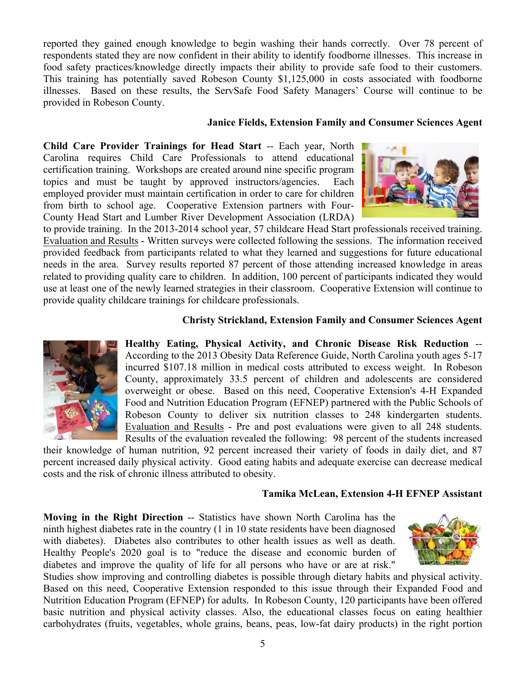reported they gained enough knowledge to begin washing their hands correctly. Over 78 percent of respondents stated they are now confident in their ability to identify foodborne illnesses. This increase in food safety practices/knowledge directly impacts their ability to provide safe food to their customers. This training has potentially saved Robeson County \$1,125,000 in costs associated with foodborne illnesses. Based on these results, the ServSafe Food Safety Managers' Course will continue to be provided in Robeson County.

## **Janice Fields, Extension Family and Consumer Sciences Agent**

**Child Care Provider Trainings for Head Start** -- Each year, North Carolina requires Child Care Professionals to attend educational certification training. Workshops are created around nine specific program topics and must be taught by approved instructors/agencies. Each employed provider must maintain certification in order to care for children from birth to school age. Cooperative Extension partners with Four-County Head Start and Lumber River Development Association (LRDA)



to provide training. In the 2013-2014 school year, 57 childcare Head Start professionals received training. Evaluation and Results - Written surveys were collected following the sessions. The information received provided feedback from participants related to what they learned and suggestions for future educational needs in the area. Survey results reported 87 percent of those attending increased knowledge in areas related to providing quality care to children. In addition, 100 percent of participants indicated they would use at least one of the newly learned strategies in their classroom. Cooperative Extension will continue to provide quality childcare trainings for childcare professionals.

## **Christy Strickland, Extension Family and Consumer Sciences Agent**



**Healthy Eating, Physical Activity, and Chronic Disease Risk Reduction** -- According to the 2013 Obesity Data Reference Guide, North Carolina youth ages 5-17 incurred \$107.18 million in medical costs attributed to excess weight. In Robeson County, approximately 33.5 percent of children and adolescents are considered overweight or obese. Based on this need, Cooperative Extension's 4-H Expanded Food and Nutrition Education Program (EFNEP) partnered with the Public Schools of Robeson County to deliver six nutrition classes to 248 kindergarten students. Evaluation and Results - Pre and post evaluations were given to all 248 students. Results of the evaluation revealed the following: 98 percent of the students increased

their knowledge of human nutrition, 92 percent increased their variety of foods in daily diet, and 87 percent increased daily physical activity. Good eating habits and adequate exercise can decrease medical costs and the risk of chronic illness attributed to obesity.

## **Tamika McLean, Extension 4-H EFNEP Assistant**

**Moving in the Right Direction** -- Statistics have shown North Carolina has the ninth highest diabetes rate in the country (1 in 10 state residents have been diagnosed with diabetes). Diabetes also contributes to other health issues as well as death. Healthy People's 2020 goal is to "reduce the disease and economic burden of diabetes and improve the quality of life for all persons who have or are at risk."



Studies show improving and controlling diabetes is possible through dietary habits and physical activity. Based on this need, Cooperative Extension responded to this issue through their Expanded Food and Nutrition Education Program (EFNEP) for adults. In Robeson County, 120 participants have been offered basic nutrition and physical activity classes. Also, the educational classes focus on eating healthier carbohydrates (fruits, vegetables, whole grains, beans, peas, low-fat dairy products) in the right portion